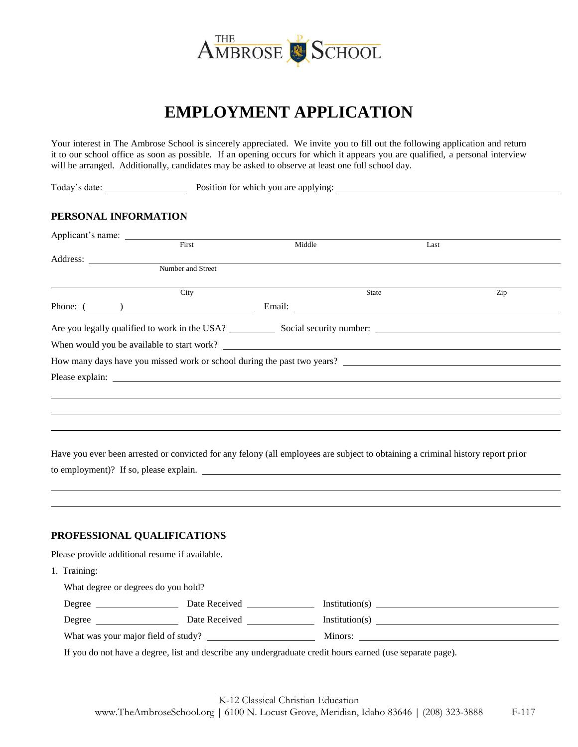

# **EMPLOYMENT APPLICATION**

Your interest in The Ambrose School is sincerely appreciated. We invite you to fill out the following application and return it to our school office as soon as possible. If an opening occurs for which it appears you are qualified, a personal interview will be arranged. Additionally, candidates may be asked to observe at least one full school day.

Today's date: <u>New York: Position</u> Fosition for which you are applying:

## **PERSONAL INFORMATION**

| First                                                                   | Middle | Last  |     |
|-------------------------------------------------------------------------|--------|-------|-----|
|                                                                         |        |       |     |
| Number and Street                                                       |        |       |     |
| City                                                                    |        | State | Zip |
| Phone: $(\_\_)$                                                         |        |       |     |
|                                                                         |        |       |     |
| When would you be available to start work?                              |        |       |     |
| How many days have you missed work or school during the past two years? |        |       |     |
|                                                                         |        |       |     |
|                                                                         |        |       |     |
|                                                                         |        |       |     |
|                                                                         |        |       |     |
|                                                                         |        |       |     |

Have you ever been arrested or convicted for any felony (all employees are subject to obtaining a criminal history report prior to employment)? If so, please explain.

#### **PROFESSIONAL QUALIFICATIONS**

Please provide additional resume if available.

1. Training:

| What degree or degrees do you hold? |               |                |
|-------------------------------------|---------------|----------------|
| Degree                              | Date Received | Institution(s) |
| Degree                              | Date Received | Institution(s) |
| What was your major field of study? |               | Minors:        |
|                                     |               |                |

If you do not have a degree, list and describe any undergraduate credit hours earned (use separate page).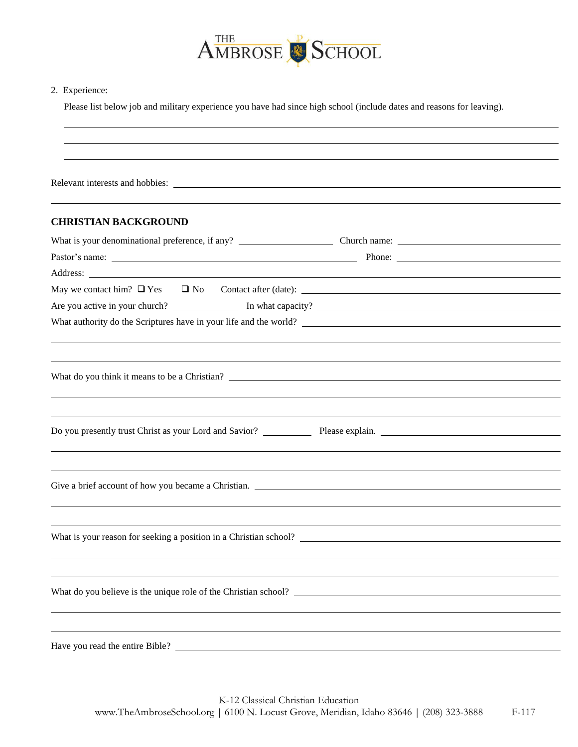

#### 2. Experience:

Please list below job and military experience you have had since high school (include dates and reasons for leaving).

| Relevant interests and hobbies:                                                                                                                                                                                                |  |
|--------------------------------------------------------------------------------------------------------------------------------------------------------------------------------------------------------------------------------|--|
| <b>CHRISTIAN BACKGROUND</b>                                                                                                                                                                                                    |  |
|                                                                                                                                                                                                                                |  |
|                                                                                                                                                                                                                                |  |
| Address: Note that the contract of the contract of the contract of the contract of the contract of the contract of the contract of the contract of the contract of the contract of the contract of the contract of the contrac |  |
| May we contact him? $\Box$ Yes $\Box$ No Contact after (date): $\Box$                                                                                                                                                          |  |
|                                                                                                                                                                                                                                |  |
| What authority do the Scriptures have in your life and the world?                                                                                                                                                              |  |
|                                                                                                                                                                                                                                |  |
| What do you think it means to be a Christian?                                                                                                                                                                                  |  |
|                                                                                                                                                                                                                                |  |
|                                                                                                                                                                                                                                |  |
| Do you presently trust Christ as your Lord and Savior? Please explain.                                                                                                                                                         |  |
|                                                                                                                                                                                                                                |  |
|                                                                                                                                                                                                                                |  |
| Give a brief account of how you became a Christian.                                                                                                                                                                            |  |
|                                                                                                                                                                                                                                |  |
|                                                                                                                                                                                                                                |  |
| What is your reason for seeking a position in a Christian school?                                                                                                                                                              |  |
|                                                                                                                                                                                                                                |  |
|                                                                                                                                                                                                                                |  |
| What do you believe is the unique role of the Christian school?                                                                                                                                                                |  |
|                                                                                                                                                                                                                                |  |
|                                                                                                                                                                                                                                |  |
| Have you read the entire Bible?                                                                                                                                                                                                |  |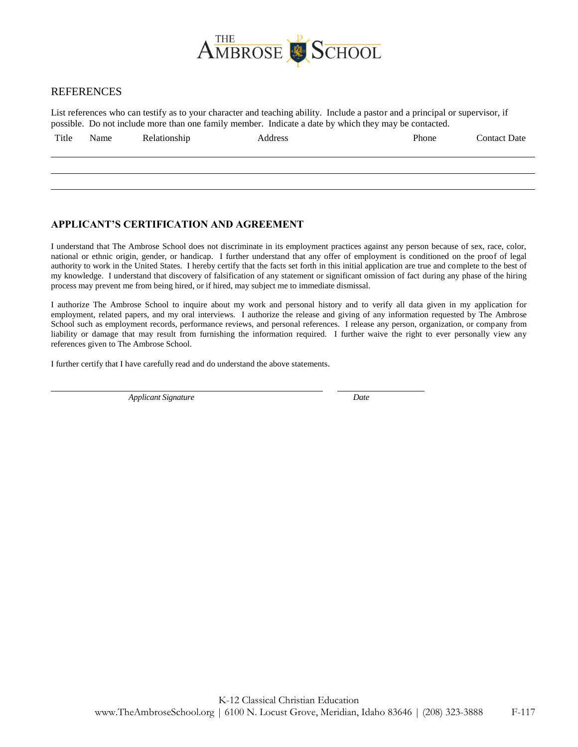

### REFERENCES

List references who can testify as to your character and teaching ability. Include a pastor and a principal or supervisor, if possible. Do not include more than one family member. Indicate a date by which they may be contacted.

| Title | Name | Relationship | Address | Phone | Contact Date |
|-------|------|--------------|---------|-------|--------------|
|       |      |              |         |       |              |

### **APPLICANT'S CERTIFICATION AND AGREEMENT**

I understand that The Ambrose School does not discriminate in its employment practices against any person because of sex, race, color, national or ethnic origin, gender, or handicap. I further understand that any offer of employment is conditioned on the proof of legal authority to work in the United States. I hereby certify that the facts set forth in this initial application are true and complete to the best of my knowledge. I understand that discovery of falsification of any statement or significant omission of fact during any phase of the hiring process may prevent me from being hired, or if hired, may subject me to immediate dismissal.

I authorize The Ambrose School to inquire about my work and personal history and to verify all data given in my application for employment, related papers, and my oral interviews. I authorize the release and giving of any information requested by The Ambrose School such as employment records, performance reviews, and personal references. I release any person, organization, or company from liability or damage that may result from furnishing the information required. I further waive the right to ever personally view any references given to The Ambrose School.

I further certify that I have carefully read and do understand the above statements.

*Applicant Signature Date*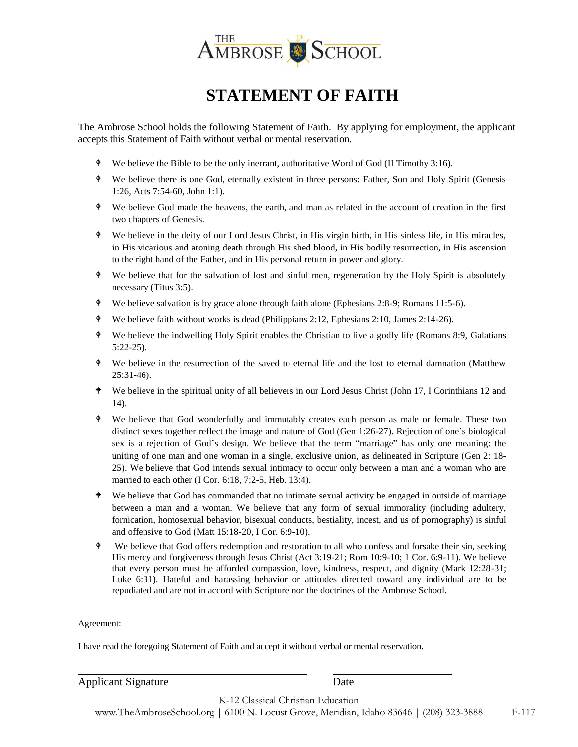

## **STATEMENT OF FAITH**

The Ambrose School holds the following Statement of Faith. By applying for employment, the applicant accepts this Statement of Faith without verbal or mental reservation.

- We believe the Bible to be the only inerrant, authoritative Word of God (II Timothy 3:16).
- We believe there is one God, eternally existent in three persons: Father, Son and Holy Spirit (Genesis 1:26, Acts 7:54-60, John 1:1).
- We believe God made the heavens, the earth, and man as related in the account of creation in the first two chapters of Genesis.
- We believe in the deity of our Lord Jesus Christ, in His virgin birth, in His sinless life, in His miracles, in His vicarious and atoning death through His shed blood, in His bodily resurrection, in His ascension to the right hand of the Father, and in His personal return in power and glory.
- We believe that for the salvation of lost and sinful men, regeneration by the Holy Spirit is absolutely necessary (Titus 3:5).
- We believe salvation is by grace alone through faith alone (Ephesians 2:8-9; Romans 11:5-6).
- We believe faith without works is dead (Philippians 2:12, Ephesians 2:10, James 2:14-26).
- We believe the indwelling Holy Spirit enables the Christian to live a godly life (Romans 8:9, Galatians 5:22-25).
- We believe in the resurrection of the saved to eternal life and the lost to eternal damnation (Matthew 25:31-46).
- We believe in the spiritual unity of all believers in our Lord Jesus Christ (John 17, I Corinthians 12 and 14).
- We believe that God wonderfully and immutably creates each person as male or female. These two distinct sexes together reflect the image and nature of God (Gen 1:26-27). Rejection of one's biological sex is a rejection of God's design. We believe that the term "marriage" has only one meaning: the uniting of one man and one woman in a single, exclusive union, as delineated in Scripture (Gen 2: 18- 25). We believe that God intends sexual intimacy to occur only between a man and a woman who are married to each other (I Cor. 6:18, 7:2-5, Heb. 13:4).
- We believe that God has commanded that no intimate sexual activity be engaged in outside of marriage between a man and a woman. We believe that any form of sexual immorality (including adultery, fornication, homosexual behavior, bisexual conducts, bestiality, incest, and us of pornography) is sinful and offensive to God (Matt 15:18-20, I Cor. 6:9-10).
- We believe that God offers redemption and restoration to all who confess and forsake their sin, seeking His mercy and forgiveness through Jesus Christ (Act 3:19-21; Rom 10:9-10; 1 Cor. 6:9-11). We believe that every person must be afforded compassion, love, kindness, respect, and dignity (Mark 12:28-31; Luke 6:31). Hateful and harassing behavior or attitudes directed toward any individual are to be repudiated and are not in accord with Scripture nor the doctrines of the Ambrose School.

Agreement:

I have read the foregoing Statement of Faith and accept it without verbal or mental reservation.

| <b>Applicant Signature</b> | Date                               |  |  |
|----------------------------|------------------------------------|--|--|
|                            | K-12 Classical Christian Education |  |  |
|                            | .<br>.                             |  |  |